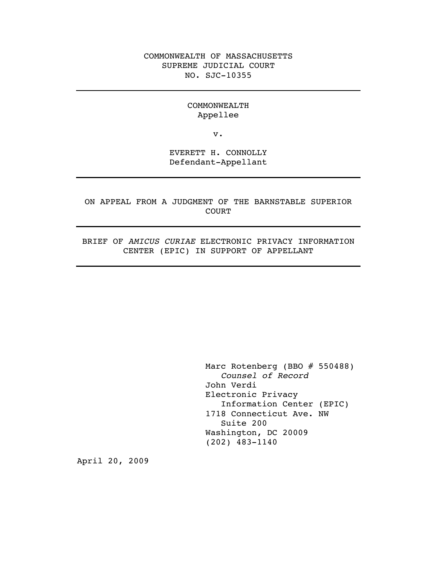### COMMONWEALTH OF MASSACHUSETTS SUPREME JUDICIAL COURT NO. SJC-10355

#### COMMONWEALTH Appellee

v.

EVERETT H. CONNOLLY Defendant-Appellant

ON APPEAL FROM A JUDGMENT OF THE BARNSTABLE SUPERIOR COURT

BRIEF OF *AMICUS CURIAE* ELECTRONIC PRIVACY INFORMATION CENTER (EPIC) IN SUPPORT OF APPELLANT

> Marc Rotenberg (BBO # 550488) *Counsel of Record* John Verdi Electronic Privacy Information Center (EPIC) 1718 Connecticut Ave. NW Suite 200 Washington, DC 20009 (202) 483-1140

April 20, 2009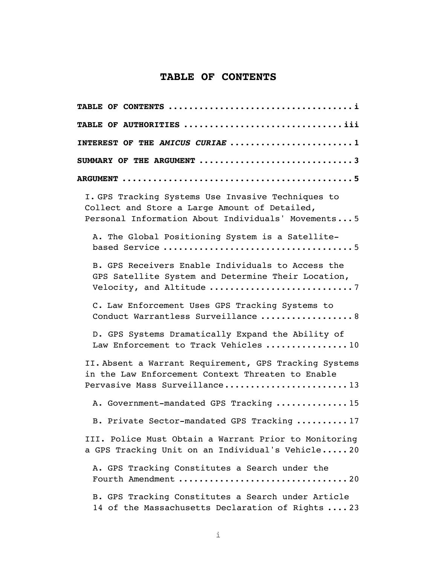# **TABLE OF CONTENTS**

| TABLE OF AUTHORITIES iii                                                                                                                                  |
|-----------------------------------------------------------------------------------------------------------------------------------------------------------|
| INTEREST OF THE AMICUS CURIAE 1                                                                                                                           |
|                                                                                                                                                           |
|                                                                                                                                                           |
| I. GPS Tracking Systems Use Invasive Techniques to<br>Collect and Store a Large Amount of Detailed,<br>Personal Information About Individuals' Movements5 |
| A. The Global Positioning System is a Satellite-                                                                                                          |
| B. GPS Receivers Enable Individuals to Access the<br>GPS Satellite System and Determine Their Location,                                                   |
| C. Law Enforcement Uses GPS Tracking Systems to<br>Conduct Warrantless Surveillance  8                                                                    |
| D. GPS Systems Dramatically Expand the Ability of<br>Law Enforcement to Track Vehicles 10                                                                 |
| II. Absent a Warrant Requirement, GPS Tracking Systems<br>in the Law Enforcement Context Threaten to Enable<br>Pervasive Mass Surveillance13              |
| A. Government-mandated GPS Tracking 15                                                                                                                    |
| B. Private Sector-mandated GPS Tracking 17                                                                                                                |
| III. Police Must Obtain a Warrant Prior to Monitoring<br>a GPS Tracking Unit on an Individual's Vehicle 20                                                |
| A. GPS Tracking Constitutes a Search under the                                                                                                            |
| B. GPS Tracking Constitutes a Search under Article<br>14 of the Massachusetts Declaration of Rights  23                                                   |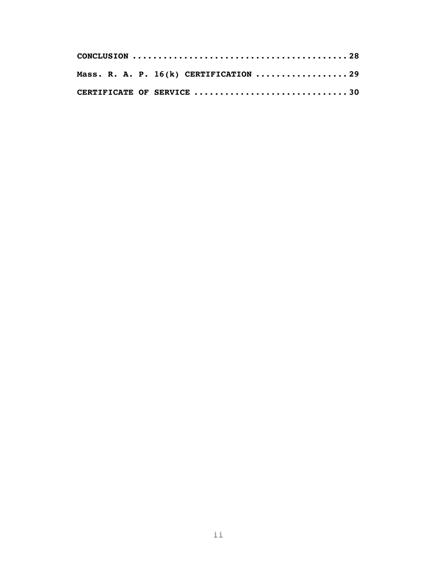|  |  | CONCLUSION $\dots\dots\dots\dots\dots\dots\dots\dots\dots\dots\dots\dots\dots$ |  |
|--|--|--------------------------------------------------------------------------------|--|
|  |  | Mass. R. A. P. 16(k) CERTIFICATION 29                                          |  |
|  |  | CERTIFICATE OF SERVICE 30                                                      |  |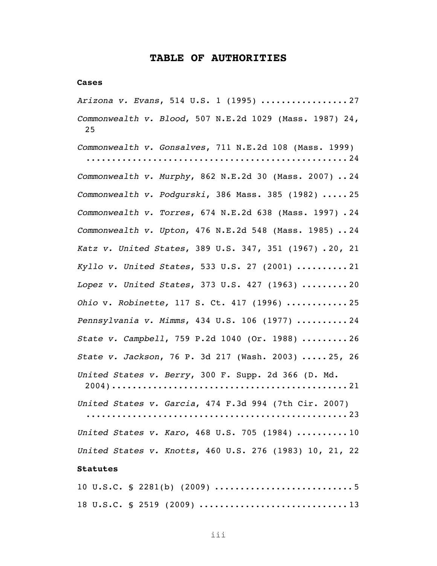#### **TABLE OF AUTHORITIES**

#### **Cases**

*Arizona v. Evans*, 514 U.S. 1 (1995) ................. 27 *Commonwealth v. Blood*, 507 N.E.2d 1029 (Mass. 1987) 24, 25

*Commonwealth v. Gonsalves*, 711 N.E.2d 108 (Mass. 1999) ................................................... 24 *Commonwealth v. Murphy*, 862 N.E.2d 30 (Mass. 2007) .. 24 *Commonwealth v. Podgurski*, 386 Mass. 385 (1982) ..... 25 *Commonwealth v. Torres*, 674 N.E.2d 638 (Mass. 1997) . 24 *Commonwealth v. Upton*, 476 N.E.2d 548 (Mass. 1985) .. 24 *Katz v. United States*, 389 U.S. 347, 351 (1967) . 20, 21 *Kyllo v. United States*, 533 U.S. 27 (2001) .......... 21 *Lopez v. United States*, 373 U.S. 427 (1963) ......... 20 *Ohio* v. *Robinette,* 117 S. Ct. 417 (1996) ............ 25 *Pennsylvania v. Mimms*, 434 U.S. 106 (1977) .......... 24 *State v. Campbell*, 759 P.2d 1040 (Or. 1988) ......... 26 *State v. Jackson*, 76 P. 3d 217 (Wash. 2003) ..... 25, 26 *United States v. Berry*, 300 F. Supp. 2d 366 (D. Md. 2004).............................................. 21

*United States v. Garcia*, 474 F.3d 994 (7th Cir. 2007) ................................................... 23 *United States v. Karo*, 468 U.S. 705 (1984) .......... 10 *United States v. Knotts*, 460 U.S. 276 (1983) 10, 21, 22 **Statutes**

# 10 U.S.C. § 2281(b) (2009) ........................... 5 18 U.S.C. § 2519 (2009) ............................. 13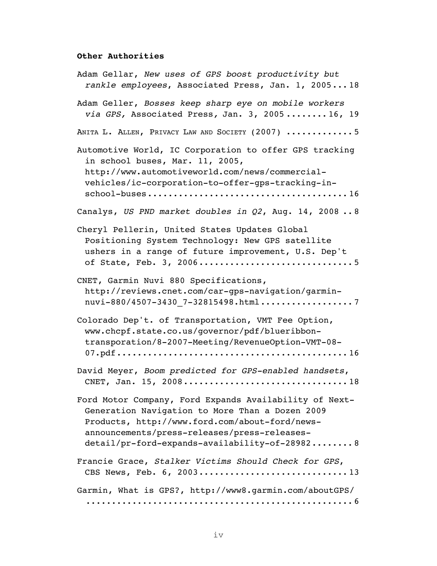#### **Other Authorities**

Adam Gellar, *New uses of GPS boost productivity but rankle employees*, Associated Press, Jan. 1, 2005... 18 Adam Geller, *Bosses keep sharp eye on mobile workers via GPS,* Associated Press*,* Jan. 3, 2005 ........ 16, 19 ANITA L. ALLEN, PRIVACY LAW AND SOCIETY (2007) ............. 5 Automotive World, IC Corporation to offer GPS tracking in school buses, Mar. 11, 2005, http://www.automotiveworld.com/news/commercialvehicles/ic-corporation-to-offer-gps-tracking-inschool-buses....................................... 16 Canalys, *US PND market doubles in Q2*, Aug. 14, 2008 .. 8 Cheryl Pellerin, United States Updates Global Positioning System Technology: New GPS satellite ushers in a range of future improvement, U.S. Dep't of State, Feb. 3, 2006.............................. 5 CNET, Garmin Nuvi 880 Specifications, http://reviews.cnet.com/car-gps-navigation/garminnuvi-880/4507-3430\_7-32815498.html.....................7 Colorado Dep't. of Transportation, VMT Fee Option, www.chcpf.state.co.us/governor/pdf/blueribbontransporation/8-2007-Meeting/RevenueOption-VMT-08- 07.pdf............................................. 16 David Meyer, *Boom predicted for GPS-enabled handsets*, CNET, Jan. 15, 2008................................ 18 Ford Motor Company, Ford Expands Availability of Next-Generation Navigation to More Than a Dozen 2009 Products, http://www.ford.com/about-ford/newsannouncements/press-releases/press-releasesdetail/pr-ford-expands-availability-of-28982........ 8 Francie Grace, *Stalker Victims Should Check for GPS*, CBS News, Feb. 6, 2003............................. 13 Garmin, What is GPS?, http://www8.garmin.com/aboutGPS/ .................................................... 6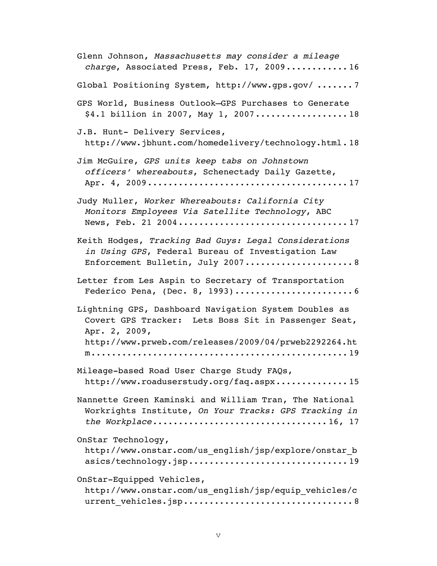| Glenn Johnson, Massachusetts may consider a mileage<br>charge, Associated Press, Feb. 17, 200916                                                                                        |
|-----------------------------------------------------------------------------------------------------------------------------------------------------------------------------------------|
| Global Positioning System, http://www.gps.gov/ 7                                                                                                                                        |
| GPS World, Business Outlook-GPS Purchases to Generate<br>\$4.1 billion in 2007, May 1, 200718                                                                                           |
| J.B. Hunt- Delivery Services,<br>http://www.jbhunt.com/homedelivery/technology.html.18                                                                                                  |
| Jim McGuire, GPS units keep tabs on Johnstown<br>officers' whereabouts, Schenectady Daily Gazette,                                                                                      |
| Judy Muller, Worker Whereabouts: California City<br>Monitors Employees Via Satellite Technology, ABC<br>News, Feb. 21 200417                                                            |
| Keith Hodges, Tracking Bad Guys: Legal Considerations<br>in Using GPS, Federal Bureau of Investigation Law<br>Enforcement Bulletin, July 2007 8                                         |
| Letter from Les Aspin to Secretary of Transportation                                                                                                                                    |
| Lightning GPS, Dashboard Navigation System Doubles as<br>Covert GPS Tracker: Lets Boss Sit in Passenger Seat,<br>Apr. 2, 2009,<br>http://www.prweb.com/releases/2009/04/prweb2292264.ht |
| Mileage-based Road User Charge Study FAQs,<br>http://www.roaduserstudy.org/faq.aspx15                                                                                                   |
| Nannette Green Kaminski and William Tran, The National<br>Workrights Institute, On Your Tracks: GPS Tracking in<br>the Workplace16, 17                                                  |
| OnStar Technology,<br>http://www.onstar.com/us english/jsp/explore/onstar b<br>asics/technology.jsp19                                                                                   |
| OnStar-Equipped Vehicles,<br>http://www.onstar.com/us english/jsp/equip vehicles/c                                                                                                      |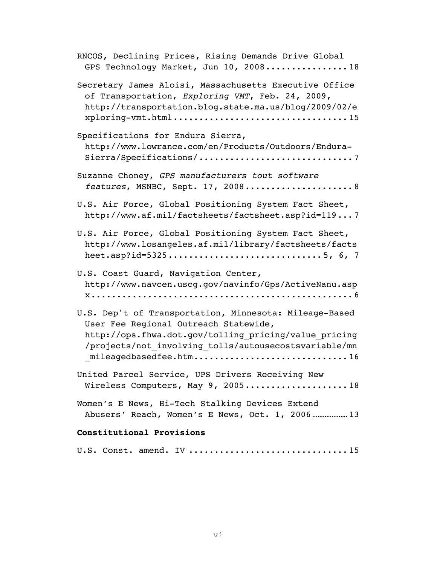| RNCOS, Declining Prices, Rising Demands Drive Global<br>GPS Technology Market, Jun 10, 200818                                                                                                                                               |
|---------------------------------------------------------------------------------------------------------------------------------------------------------------------------------------------------------------------------------------------|
| Secretary James Aloisi, Massachusetts Executive Office<br>of Transportation, Exploring VMT, Feb. 24, 2009,<br>http://transportation.blog.state.ma.us/blog/2009/02/e                                                                         |
| Specifications for Endura Sierra,<br>http://www.lowrance.com/en/Products/Outdoors/Endura-<br>Sierra/Specifications/7                                                                                                                        |
| Suzanne Choney, GPS manufacturers tout software<br>features, MSNBC, Sept. 17, 20088                                                                                                                                                         |
| U.S. Air Force, Global Positioning System Fact Sheet,<br>http://www.af.mil/factsheets/factsheet.asp?id=1197                                                                                                                                 |
| U.S. Air Force, Global Positioning System Fact Sheet,<br>http://www.losangeles.af.mil/library/factsheets/facts                                                                                                                              |
| U.S. Coast Guard, Navigation Center,<br>http://www.navcen.uscg.gov/navinfo/Gps/ActiveNanu.asp                                                                                                                                               |
| U.S. Dep't of Transportation, Minnesota: Mileage-Based<br>User Fee Regional Outreach Statewide,<br>http://ops.fhwa.dot.gov/tolling pricing/value pricing<br>/projects/not_involving_tolls/autousecostsvariable/mn<br>mileagedbasedfee.htm16 |
| United Parcel Service, UPS Drivers Receiving New<br>Wireless Computers, May 9, 200518                                                                                                                                                       |
| Women's E News, Hi-Tech Stalking Devices Extend<br>Abusers' Reach, Women's E News, Oct. 1, 2006 13                                                                                                                                          |
| Constitutional Provisions                                                                                                                                                                                                                   |

|  |  |  |  | U.S. Const. amend. IV 15 |  |
|--|--|--|--|--------------------------|--|
|--|--|--|--|--------------------------|--|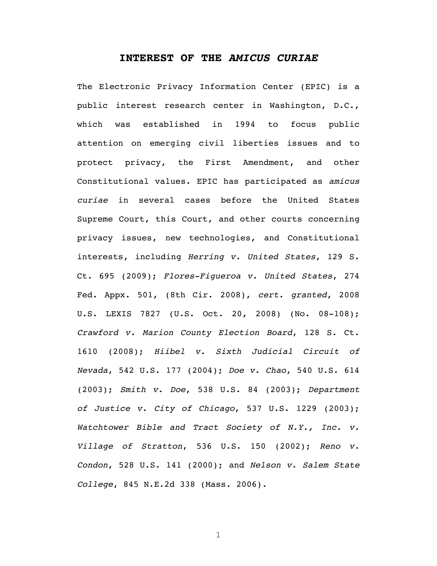#### **INTEREST OF THE** *AMICUS CURIAE*

The Electronic Privacy Information Center (EPIC) is a public interest research center in Washington, D.C., which was established in 1994 to focus public attention on emerging civil liberties issues and to protect privacy, the First Amendment, and other Constitutional values. EPIC has participated as *amicus curiae* in several cases before the United States Supreme Court, this Court, and other courts concerning privacy issues, new technologies, and Constitutional interests, including *Herring v. United States*, 129 S. Ct. 695 (2009); *Flores-Figueroa v. United States*, 274 Fed. Appx. 501, (8th Cir. 2008), *cert. granted*, 2008 U.S. LEXIS 7827 (U.S. Oct. 20, 2008) (No. 08-108); *Crawford v. Marion County Election Board*, 128 S. Ct. 1610 (2008); *Hiibel v. Sixth Judicial Circuit of Nevada*, 542 U.S. 177 (2004); *Doe v. Chao*, 540 U.S. 614 (2003); *Smith v. Doe*, 538 U.S. 84 (2003); *Department of Justice v. City of Chicago*, 537 U.S. 1229 (2003); *Watchtower Bible and Tract Society of N.Y., Inc. v. Village of Stratton*, 536 U.S. 150 (2002); *Reno v. Condon*, 528 U.S. 141 (2000); and *Nelson v. Salem State College*, 845 N.E.2d 338 (Mass. 2006).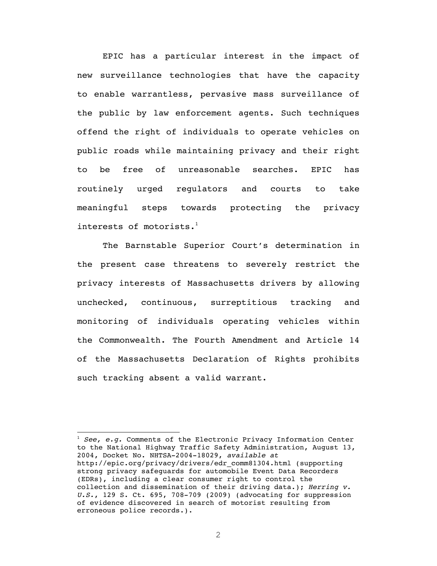EPIC has a particular interest in the impact of new surveillance technologies that have the capacity to enable warrantless, pervasive mass surveillance of the public by law enforcement agents. Such techniques offend the right of individuals to operate vehicles on public roads while maintaining privacy and their right to be free of unreasonable searches. EPIC has routinely urged regulators and courts to take meaningful steps towards protecting the privacy interests of motorists. $<sup>1</sup>$ </sup>

The Barnstable Superior Court's determination in the present case threatens to severely restrict the privacy interests of Massachusetts drivers by allowing unchecked, continuous, surreptitious tracking and monitoring of individuals operating vehicles within the Commonwealth. The Fourth Amendment and Article 14 of the Massachusetts Declaration of Rights prohibits such tracking absent a valid warrant.

<u> 1989 - Jan Samuel Barbara, margaret e</u>

<sup>1</sup> *See, e.g.* Comments of the Electronic Privacy Information Center to the National Highway Traffic Safety Administration, August 13, 2004, Docket No. NHTSA-2004-18029, *available at* http://epic.org/privacy/drivers/edr\_comm81304.html (supporting strong privacy safeguards for automobile Event Data Recorders (EDRs), including a clear consumer right to control the collection and dissemination of their driving data.); *Herring v. U.S.*, 129 S. Ct. 695, 708-709 (2009) (advocating for suppression of evidence discovered in search of motorist resulting from erroneous police records.).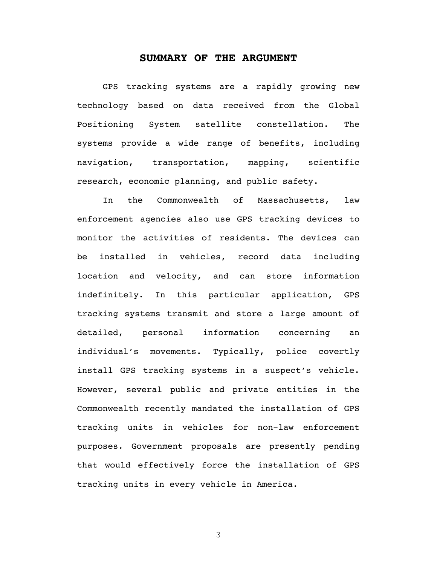#### **SUMMARY OF THE ARGUMENT**

GPS tracking systems are a rapidly growing new technology based on data received from the Global Positioning System satellite constellation. The systems provide a wide range of benefits, including navigation, transportation, mapping, scientific research, economic planning, and public safety.

In the Commonwealth of Massachusetts, law enforcement agencies also use GPS tracking devices to monitor the activities of residents. The devices can be installed in vehicles, record data including location and velocity, and can store information indefinitely. In this particular application, GPS tracking systems transmit and store a large amount of detailed, personal information concerning an individual's movements. Typically, police covertly install GPS tracking systems in a suspect's vehicle. However, several public and private entities in the Commonwealth recently mandated the installation of GPS tracking units in vehicles for non-law enforcement purposes. Government proposals are presently pending that would effectively force the installation of GPS tracking units in every vehicle in America.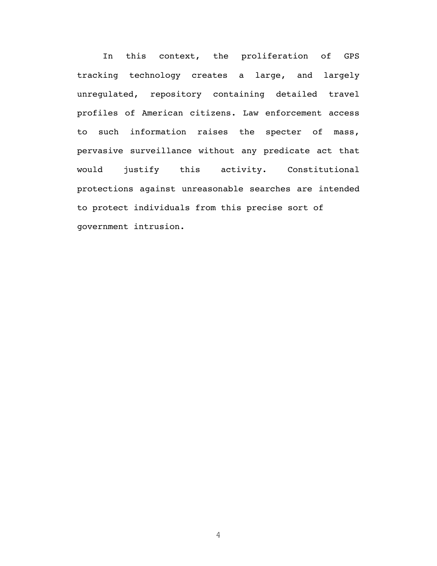In this context, the proliferation of GPS tracking technology creates a large, and largely unregulated, repository containing detailed travel profiles of American citizens. Law enforcement access to such information raises the specter of mass, pervasive surveillance without any predicate act that would justify this activity. Constitutional protections against unreasonable searches are intended to protect individuals from this precise sort of government intrusion.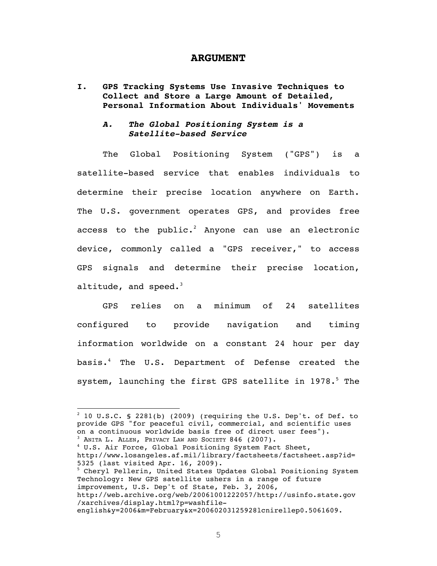#### **ARGUMENT**

**I. GPS Tracking Systems Use Invasive Techniques to Collect and Store a Large Amount of Detailed, Personal Information About Individuals' Movements**

#### *A. The Global Positioning System is a Satellite-based Service*

The Global Positioning System ("GPS") is a satellite-based service that enables individuals to determine their precise location anywhere on Earth. The U.S. government operates GPS, and provides free access to the public. $^2$  Anyone can use an electronic device, commonly called a "GPS receiver," to access GPS signals and determine their precise location, altitude, and speed. $3$ 

GPS relies on a minimum of 24 satellites configured to provide navigation and timing information worldwide on a constant 24 hour per day basis.4 The U.S. Department of Defense created the system, launching the first GPS satellite in 1978.<sup>5</sup> The

4 U.S. Air Force, Global Positioning System Fact Sheet, http://www.losangeles.af.mil/library/factsheets/factsheet.asp?id= 5325 (last visited Apr. 16, 2009). 5 Cheryl Pellerin, United States Updates Global Positioning System Technology: New GPS satellite ushers in a range of future improvement, U.S. Dep't of State, Feb. 3, 2006, http://web.archive.org/web/20061001222057/http://usinfo.state.gov /xarchives/display.html?p=washfile-

english&y=2006&m=February&x=20060203125928lcnirellep0.5061609.

 $^2$  10 U.S.C. § 2281(b) (2009) (requiring the U.S. Dep't. of Def. to provide GPS "for peaceful civil, commercial, and scientific uses on a continuous worldwide basis free of direct user fees"). <sup>3</sup> ANITA L. ALLEN, PRIVACY LAW AND SOCIETY 846 (2007).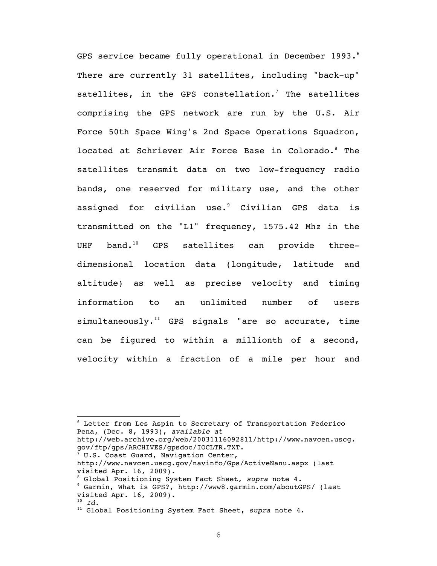GPS service became fully operational in December 1993. $^{6}$ There are currently 31 satellites, including "back-up" satellites, in the GPS constellation.<sup>7</sup> The satellites comprising the GPS network are run by the U.S. Air Force 50th Space Wing's 2nd Space Operations Squadron, located at Schriever Air Force Base in Colorado.8 The satellites transmit data on two low-frequency radio bands, one reserved for military use, and the other assigned for civilian use. $^9$  Civilian GPS data is transmitted on the "L1" frequency, 1575.42 Mhz in the UHF band.<sup>10</sup> GPS satellites can provide threedimensional location data (longitude, latitude and altitude) as well as precise velocity and timing information to an unlimited number of users  $simultaneously.<sup>11</sup>$  GPS signals "are so accurate, time can be figured to within a millionth of a second, velocity within a fraction of a mile per hour and

6 Letter from Les Aspin to Secretary of Transportation Federico Pena, (Dec. 8, 1993), *available at* http://web.archive.org/web/20031116092811/http://www.navcen.uscg. gov/ftp/gps/ARCHIVES/gpsdoc/IOCLTR.TXT. 7 U.S. Coast Guard, Navigation Center, http://www.navcen.uscg.gov/navinfo/Gps/ActiveNanu.aspx (last visited Apr. 16, 2009). <sup>8</sup> Global Positioning System Fact Sheet, *supra* note 4.<br><sup>9</sup> Garmin, What is GBS2, http://www.garmin.com/aboutGB Garmin, What is GPS?, http://www8.garmin.com/aboutGPS/ (last visited Apr. 16, 2009).

<u> 1989 - Jan Samuel Barbara, margaret e</u>

<sup>10</sup> *Id.*

<sup>11</sup> Global Positioning System Fact Sheet, *supra* note 4.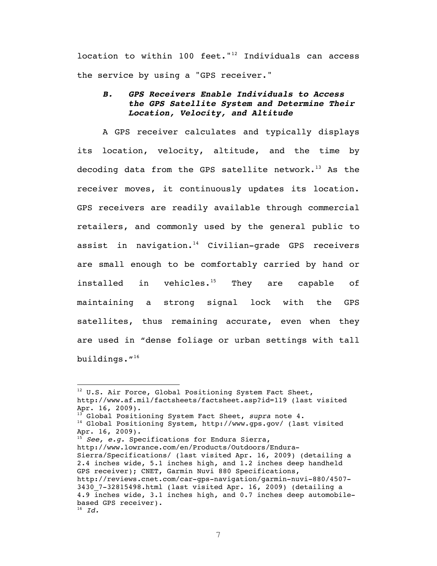location to within 100 feet." $12$  Individuals can access the service by using a "GPS receiver."

### *B. GPS Receivers Enable Individuals to Access the GPS Satellite System and Determine Their Location, Velocity, and Altitude*

A GPS receiver calculates and typically displays its location, velocity, altitude, and the time by decoding data from the GPS satellite network.<sup>13</sup> As the receiver moves, it continuously updates its location. GPS receivers are readily available through commercial retailers, and commonly used by the general public to assist in navigation. $14$  Civilian-grade GPS receivers are small enough to be comfortably carried by hand or installed in vehicles. $15$  They are capable of maintaining a strong signal lock with the GPS satellites, thus remaining accurate, even when they are used in "dense foliage or urban settings with tall buildings."16

<sup>&</sup>lt;sup>12</sup> U.S. Air Force, Global Positioning System Fact Sheet, http://www.af.mil/factsheets/factsheet.asp?id=119 (last visited Apr. 16, 2009). 13 Global Positioning System Fact Sheet, *supra* note 4. 14 Global Positioning System, http://www.gps.gov/ (last visited Apr. 16, 2009). <sup>15</sup> *See, e.g.* Specifications for Endura Sierra, http://www.lowrance.com/en/Products/Outdoors/Endura-Sierra/Specifications/ (last visited Apr. 16, 2009) (detailing a 2.4 inches wide, 5.1 inches high, and 1.2 inches deep handheld GPS receiver); CNET, Garmin Nuvi 880 Specifications, http://reviews.cnet.com/car-gps-navigation/garmin-nuvi-880/4507- 3430\_7-32815498.html (last visited Apr. 16, 2009) (detailing a 4.9 inches wide, 3.1 inches high, and 0.7 inches deep automobilebased GPS receiver). <sup>16</sup> *Id.*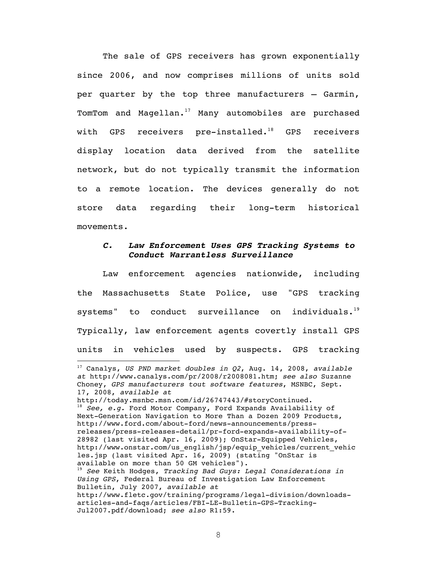The sale of GPS receivers has grown exponentially since 2006, and now comprises millions of units sold per quarter by the top three manufacturers – Garmin, TomTom and Magellan. $17$  Many automobiles are purchased with GPS receivers pre-installed.<sup>18</sup> GPS receivers display location data derived from the satellite network, but do not typically transmit the information to a remote location. The devices generally do not store data regarding their long-term historical movements.

#### *C. Law Enforcement Uses GPS Tracking Systems to Conduct Warrantless Surveillance*

Law enforcement agencies nationwide, including the Massachusetts State Police, use "GPS tracking systems" to conduct surveillance on individuals.<sup>19</sup> Typically, law enforcement agents covertly install GPS units in vehicles used by suspects. GPS tracking

<u> 1989 - Jan Samuel Barbara, margaret e</u>

<sup>17</sup> Canalys, *US PND market doubles in Q2*, Aug. 14, 2008, *available at* http://www.canalys.com/pr/2008/r2008081.htm; *see also* Suzanne Choney, *GPS manufacturers tout software features*, MSNBC, Sept. 17, 2008, *available at*

http://today.msnbc.msn.com/id/26747443/#storyContinued. <sup>18</sup> *See, e.g.* Ford Motor Company, Ford Expands Availability of Next-Generation Navigation to More Than a Dozen 2009 Products, http://www.ford.com/about-ford/news-announcements/pressreleases/press-releases-detail/pr-ford-expands-availability-of-28982 (last visited Apr. 16, 2009); OnStar-Equipped Vehicles, http://www.onstar.com/us\_english/jsp/equip\_vehicles/current\_vehic les.jsp (last visited Apr. 16, 2009) (stating "OnStar is available on more than 50 GM vehicles"). <sup>19</sup> *See* Keith Hodges, *Tracking Bad Guys: Legal Considerations in Using GPS*, Federal Bureau of Investigation Law Enforcement Bulletin, July 2007, *available at* http://www.fletc.gov/training/programs/legal-division/downloadsarticles-and-faqs/articles/FBI-LE-Bulletin-GPS-Tracking-

Jul2007.pdf/download; *see also* R1:59.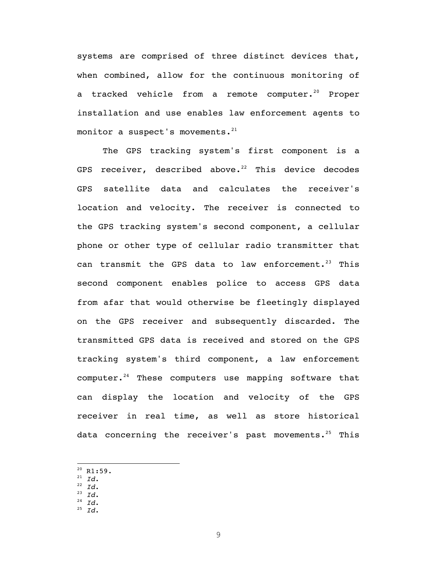systems are comprised of three distinct devices that, when combined, allow for the continuous monitoring of a tracked vehicle from a remote computer.<sup>20</sup> Proper installation and use enables law enforcement agents to monitor a suspect's movements. $21$ 

The GPS tracking system's first component is a GPS receiver, described above.<sup>22</sup> This device decodes GPS satellite data and calculates the receiver's location and velocity. The receiver is connected to the GPS tracking system's second component, a cellular phone or other type of cellular radio transmitter that can transmit the GPS data to law enforcement.<sup>23</sup> This second component enables police to access GPS data from afar that would otherwise be fleetingly displayed on the GPS receiver and subsequently discarded. The transmitted GPS data is received and stored on the GPS tracking system's third component, a law enforcement computer. $24$  These computers use mapping software that can display the location and velocity of the GPS receiver in real time, as well as store historical data concerning the receiver's past movements.<sup>25</sup> This

- <sup>21</sup> *Id*.
- <sup>22</sup> *Id*. <sup>23</sup> *Id*.
- <sup>24</sup> *Id*.
- <sup>25</sup> *Id*.
- 

 $20$  R1:59.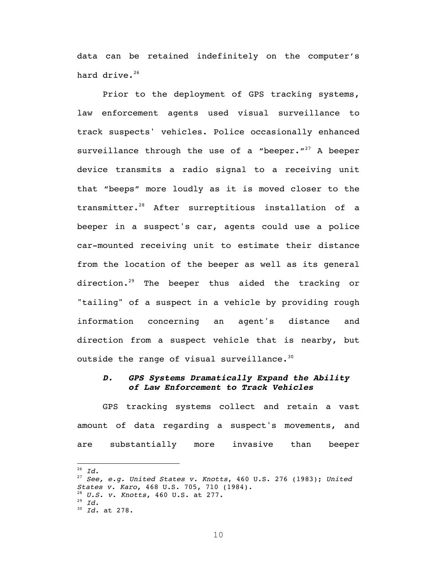data can be retained indefinitely on the computer's hard drive.<sup>26</sup>

Prior to the deployment of GPS tracking systems, law enforcement agents used visual surveillance to track suspects' vehicles. Police occasionally enhanced surveillance through the use of a "beeper. $127$  A beeper device transmits a radio signal to a receiving unit that "beeps" more loudly as it is moved closer to the transmitter.28 After surreptitious installation of a beeper in a suspect's car, agents could use a police car-mounted receiving unit to estimate their distance from the location of the beeper as well as its general direction.<sup>29</sup> The beeper thus aided the tracking or "tailing" of a suspect in a vehicle by providing rough information concerning an agent's distance and direction from a suspect vehicle that is nearby, but outside the range of visual surveillance. $30$ 

#### *D. GPS Systems Dramatically Expand the Ability of Law Enforcement to Track Vehicles*

GPS tracking systems collect and retain a vast amount of data regarding a suspect's movements, and are substantially more invasive than beeper

 $^{26}$  *Id.* 

<sup>27</sup> *See, e.g. United States v. Knotts*, 460 U.S. 276 (1983); *United States v. Karo*, 468 U.S. 705, 710 (1984). <sup>28</sup> *U.S. v. Knotts*, 460 U.S. at 277. <sup>29</sup> *Id*. 30 *Id.* at 278.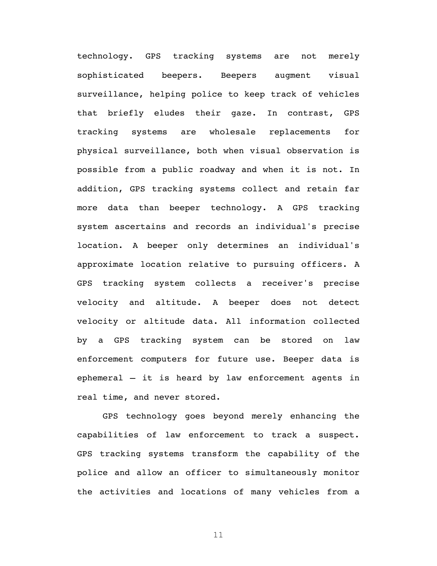technology. GPS tracking systems are not merely sophisticated beepers. Beepers augment visual surveillance, helping police to keep track of vehicles that briefly eludes their gaze. In contrast, GPS tracking systems are wholesale replacements for physical surveillance, both when visual observation is possible from a public roadway and when it is not. In addition, GPS tracking systems collect and retain far more data than beeper technology. A GPS tracking system ascertains and records an individual's precise location. A beeper only determines an individual's approximate location relative to pursuing officers. A GPS tracking system collects a receiver's precise velocity and altitude. A beeper does not detect velocity or altitude data. All information collected by a GPS tracking system can be stored on law enforcement computers for future use. Beeper data is ephemeral – it is heard by law enforcement agents in real time, and never stored.

GPS technology goes beyond merely enhancing the capabilities of law enforcement to track a suspect. GPS tracking systems transform the capability of the police and allow an officer to simultaneously monitor the activities and locations of many vehicles from a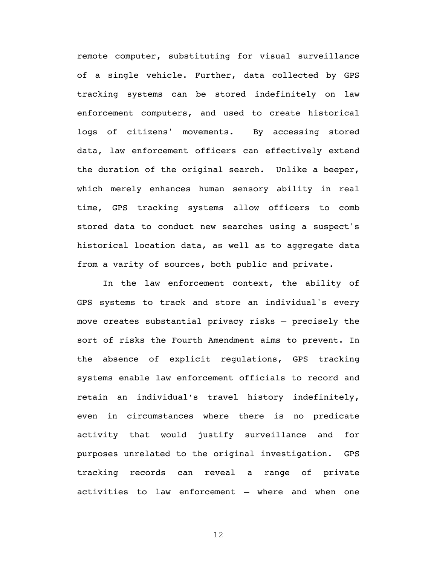remote computer, substituting for visual surveillance of a single vehicle. Further, data collected by GPS tracking systems can be stored indefinitely on law enforcement computers, and used to create historical logs of citizens' movements. By accessing stored data, law enforcement officers can effectively extend the duration of the original search. Unlike a beeper, which merely enhances human sensory ability in real time, GPS tracking systems allow officers to comb stored data to conduct new searches using a suspect's historical location data, as well as to aggregate data from a varity of sources, both public and private.

In the law enforcement context, the ability of GPS systems to track and store an individual's every move creates substantial privacy risks – precisely the sort of risks the Fourth Amendment aims to prevent. In the absence of explicit regulations, GPS tracking systems enable law enforcement officials to record and retain an individual's travel history indefinitely, even in circumstances where there is no predicate activity that would justify surveillance and for purposes unrelated to the original investigation. GPS tracking records can reveal a range of private activities to law enforcement – where and when one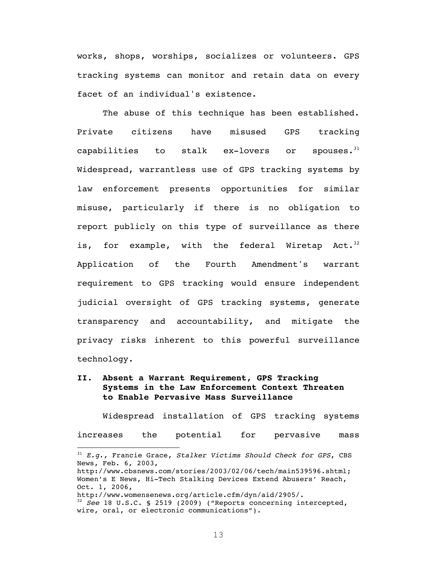works, shops, worships, socializes or volunteers. GPS tracking systems can monitor and retain data on every facet of an individual's existence.

The abuse of this technique has been established. Private citizens have misused GPS tracking capabilities to stalk ex-lovers or spouses. $31$ Widespread, warrantless use of GPS tracking systems by law enforcement presents opportunities for similar misuse, particularly if there is no obligation to report publicly on this type of surveillance as there is, for example, with the federal Wiretap Act. $32$ Application of the Fourth Amendment's warrant requirement to GPS tracking would ensure independent judicial oversight of GPS tracking systems, generate transparency and accountability, and mitigate the privacy risks inherent to this powerful surveillance technology.

**II. Absent a Warrant Requirement, GPS Tracking Systems in the Law Enforcement Context Threaten to Enable Pervasive Mass Surveillance**

Widespread installation of GPS tracking systems increases the potential for pervasive mass

<u> 1989 - Jan Samuel Barbara, margaret e</u>

<sup>31</sup> *E.g.,* Francie Grace, *Stalker Victims Should Check for GPS*, CBS News, Feb. 6, 2003,

http://www.cbsnews.com/stories/2003/02/06/tech/main539596.shtml; Women's E News, Hi-Tech Stalking Devices Extend Abusers' Reach, Oct. 1, 2006,

http://www.womensenews.org/article.cfm/dyn/aid/2905/.

<sup>32</sup> *See* 18 U.S.C. § 2519 (2009) ("Reports concerning intercepted, wire, oral, or electronic communications").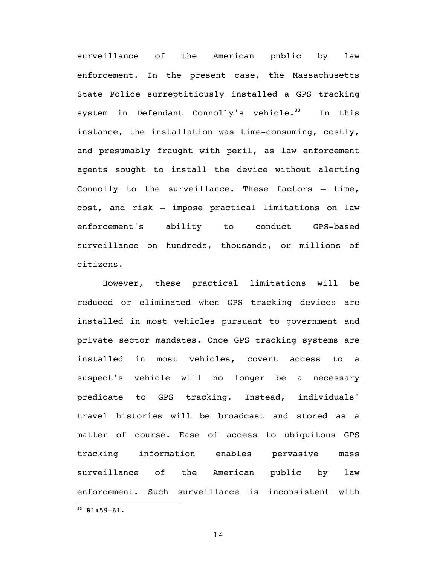surveillance of the American public by law enforcement. In the present case, the Massachusetts State Police surreptitiously installed a GPS tracking system in Defendant Connolly's vehicle.<sup>33</sup> In this instance, the installation was time-consuming, costly, and presumably fraught with peril, as law enforcement agents sought to install the device without alerting Connolly to the surveillance. These factors – time, cost, and risk – impose practical limitations on law enforcement's ability to conduct GPS-based surveillance on hundreds, thousands, or millions of citizens.

However, these practical limitations will be reduced or eliminated when GPS tracking devices are installed in most vehicles pursuant to government and private sector mandates. Once GPS tracking systems are installed in most vehicles, covert access to a suspect's vehicle will no longer be a necessary predicate to GPS tracking. Instead, individuals' travel histories will be broadcast and stored as a matter of course. Ease of access to ubiquitous GPS tracking information enables pervasive mass surveillance of the American public by law enforcement. Such surveillance is inconsistent with <u> 1989 - Jan Samuel Barbara, margaret e</u>

 $33$  R1:59-61.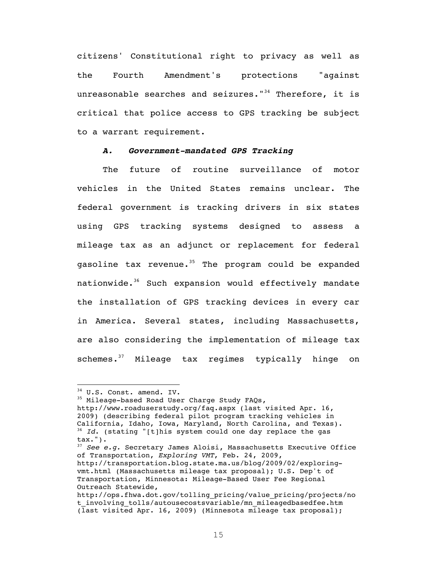citizens' Constitutional right to privacy as well as the Fourth Amendment's protections "against unreasonable searches and seizures." $34$  Therefore, it is critical that police access to GPS tracking be subject to a warrant requirement.

#### *A. Government-mandated GPS Tracking*

The future of routine surveillance of motor vehicles in the United States remains unclear. The federal government is tracking drivers in six states using GPS tracking systems designed to assess a mileage tax as an adjunct or replacement for federal gasoline tax revenue.<sup>35</sup> The program could be expanded nationwide.<sup>36</sup> Such expansion would effectively mandate the installation of GPS tracking devices in every car in America. Several states, including Massachusetts, are also considering the implementation of mileage tax schemes.<sup>37</sup> Mileage tax regimes typically hinge on

 <sup>34</sup> U.S. Const. amend. IV.

<sup>&</sup>lt;sup>35</sup> Mileage-based Road User Charge Study FAQs,

http://www.roaduserstudy.org/faq.aspx (last visited Apr. 16, 2009) (describing federal pilot program tracking vehicles in<br>California, Idaho, Iowa, Maryland, North Carolina, and Texas). <sup>36</sup> Id. (stating "[t]his system could one day replace the gas tax.").

<sup>37</sup> *See e.g.* Secretary James Aloisi, Massachusetts Executive Office of Transportation, *Exploring VMT*, Feb. 24, 2009,

http://transportation.blog.state.ma.us/blog/2009/02/exploringvmt.html (Massachusetts mileage tax proposal); U.S. Dep't of Transportation, Minnesota: Mileage-Based User Fee Regional Outreach Statewide,

http://ops.fhwa.dot.gov/tolling\_pricing/value\_pricing/projects/no t involving tolls/autousecostsvariable/mn mileagedbasedfee.htm (last visited Apr. 16, 2009) (Minnesota mileage tax proposal);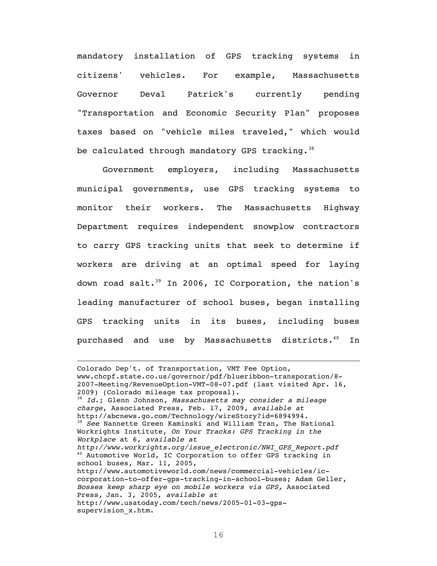mandatory installation of GPS tracking systems in citizens' vehicles. For example, Massachusetts Governor Deval Patrick's currently pending "Transportation and Economic Security Plan" proposes taxes based on "vehicle miles traveled," which would be calculated through mandatory GPS tracking.<sup>38</sup>

Government employers, including Massachusetts municipal governments, use GPS tracking systems to monitor their workers. The Massachusetts Highway Department requires independent snowplow contractors to carry GPS tracking units that seek to determine if workers are driving at an optimal speed for laying down road salt.<sup>39</sup> In 2006, IC Corporation, the nation's leading manufacturer of school buses, began installing GPS tracking units in its buses, including buses purchased and use by Massachusetts districts.<sup>40</sup> In

<u> 1989 - Andrea Santa Andrea Andrea Andrea Andrea Andrea Andrea Andrea Andrea Andrea Andrea Andrea Andrea Andr</u>

Colorado Dep't. of Transportation, VMT Fee Option, www.chcpf.state.co.us/governor/pdf/blueribbon-transporation/8- 2007-Meeting/RevenueOption-VMT-08-07.pdf (last visited Apr. 16, 2009) (Colorado mileage tax proposal). 38 *Id*.; Glenn Johnson, *Massachusetts may consider a mileage charge*, Associated Press, Feb. 17, 2009, *available at* http://abcnews.go.com/Technology/wireStory?id=6894994. <sup>39</sup> *See* Nannette Green Kaminski and William Tran, The National Workrights Institute, *On Your Tracks: GPS Tracking in the Workplace* at 6, *available at http://www.workrights.org/issue\_electronic/NWI\_GPS\_Report.pdf* 40 Automotive World, IC Corporation to offer GPS tracking in school buses, Mar. 11, 2005, http://www.automotiveworld.com/news/commercial-vehicles/iccorporation-to-offer-gps-tracking-in-school-buses; Adam Geller, *Bosses keep sharp eye on mobile workers via GPS,* Associated Press*,* Jan. 3, 2005, *available at* http://www.usatoday.com/tech/news/2005-01-03-gpssupervision\_x.htm.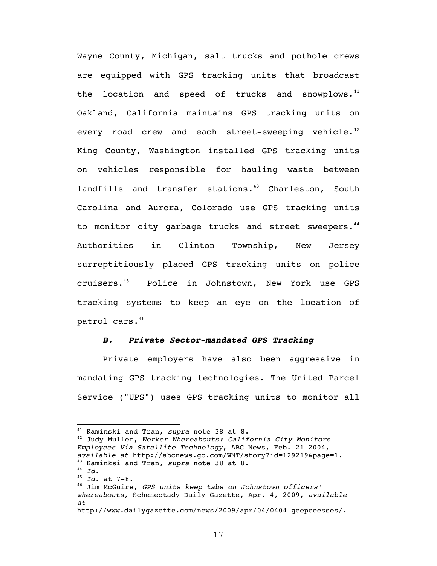Wayne County, Michigan, salt trucks and pothole crews are equipped with GPS tracking units that broadcast the location and speed of trucks and snowplows. $41$ Oakland, California maintains GPS tracking units on every road crew and each street-sweeping vehicle. $4^{2}$ King County, Washington installed GPS tracking units on vehicles responsible for hauling waste between landfills and transfer stations.<sup>43</sup> Charleston, South Carolina and Aurora, Colorado use GPS tracking units to monitor city garbage trucks and street sweepers.<sup>44</sup> Authorities in Clinton Township, New Jersey surreptitiously placed GPS tracking units on police cruisers.45 Police in Johnstown, New York use GPS tracking systems to keep an eye on the location of patrol cars.46

#### *B. Private Sector-mandated GPS Tracking*

Private employers have also been aggressive in mandating GPS tracking technologies. The United Parcel Service ("UPS") uses GPS tracking units to monitor all

<sup>&</sup>lt;sup>41</sup> Kaminski and Tran, *supra* note 38 at 8.<br><sup>42</sup> Judy Muller, *Worker Whereabouts: California City Monitors Employees Via Satellite Technology*, ABC News, Feb. 21 2004, *available at* http://abcnews.go.com/WNT/story?id=129219&page=1. 43 Kaminksi and Tran, *supra* note 38 at 8. 44 *Id.* <sup>45</sup> *Id.* at 7-8.

<sup>46</sup> Jim McGuire, *GPS units keep tabs on Johnstown officers' whereabouts*, Schenectady Daily Gazette, Apr. 4, 2009, *available at*

http://www.dailygazette.com/news/2009/apr/04/0404\_geepeeesses/.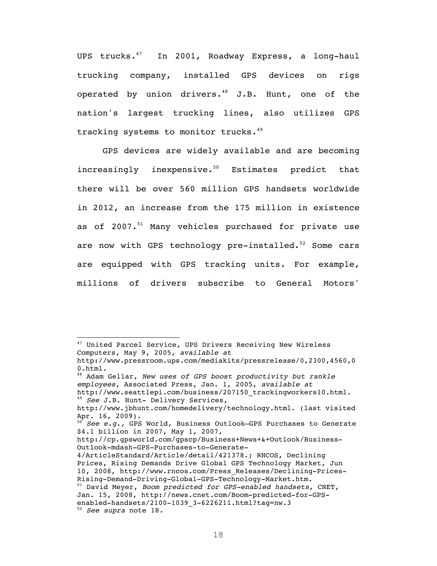UPS trucks.<sup>47</sup> In 2001, Roadway Express, a long-haul trucking company, installed GPS devices on rigs operated by union drivers. $48$  J.B. Hunt, one of the nation's largest trucking lines, also utilizes GPS tracking systems to monitor trucks.<sup>49</sup>

GPS devices are widely available and are becoming increasingly inexpensive. $50$  Estimates predict that there will be over 560 million GPS handsets worldwide in 2012, an increase from the 175 million in existence as of 2007.<sup>51</sup> Many vehicles purchased for private use are now with GPS technology pre-installed. $52$  Some cars are equipped with GPS tracking units. For example, millions of drivers subscribe to General Motors'

http://cp.gpsworld.com/gpscp/Business+News+&+Outlook/Business-Outlook-mdash-GPS-Purchases-to-Generate-

<sup>&</sup>lt;sup>47</sup> United Parcel Service, UPS Drivers Receiving New Wireless Computers, May 9, 2005, *available at* http://www.pressroom.ups.com/mediakits/pressrelease/0,2300,4560,0 0.html.

<sup>48</sup> Adam Gellar, *New uses of GPS boost productivity but rankle employees*, Associated Press, Jan. 1, 2005, *available at* http://www.seattlepi.com/business/207150\_trackingworkers10.html. <sup>49</sup> *See* J.B. Hunt- Delivery Services,

http://www.jbhunt.com/homedelivery/technology.html. (last visited Apr. 16, 2009).

<sup>50</sup> *See e.g.,* GPS World, Business Outlook—GPS Purchases to Generate \$4.1 billion in 2007, May 1, 2007,

<sup>4/</sup>ArticleStandard/Article/detail/421378.; RNCOS, Declining Prices, Rising Demands Drive Global GPS Technology Market, Jun 10, 2008, http://www.rncos.com/Press\_Releases/Declining-Prices-Rising-Demand-Driving-Global-GPS-Technology-Market.htm. 51 David Meyer, *Boom predicted for GPS-enabled handsets*, CNET,

Jan. 15, 2008, http://news.cnet.com/Boom-predicted-for-GPSenabled-handsets/2100-1039\_3-6226211.html?tag=nw.3 <sup>52</sup> *See supra* note 18.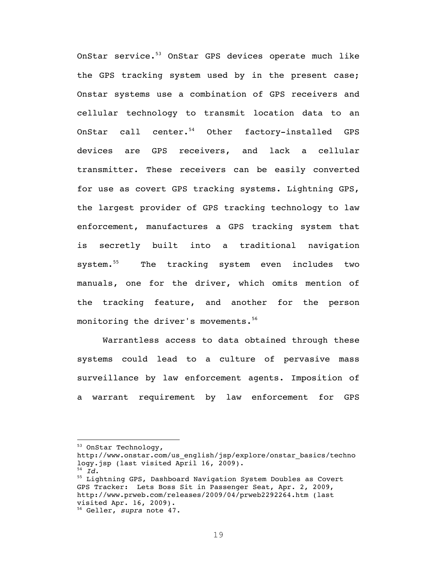OnStar service.<sup>53</sup> OnStar GPS devices operate much like the GPS tracking system used by in the present case; Onstar systems use a combination of GPS receivers and cellular technology to transmit location data to an OnStar call center.<sup>54</sup> Other factory-installed GPS devices are GPS receivers, and lack a cellular transmitter. These receivers can be easily converted for use as covert GPS tracking systems. Lightning GPS, the largest provider of GPS tracking technology to law enforcement, manufactures a GPS tracking system that is secretly built into a traditional navigation system.<sup>55</sup> The tracking system even includes two manuals, one for the driver, which omits mention of the tracking feature, and another for the person monitoring the driver's movements.<sup>56</sup>

Warrantless access to data obtained through these systems could lead to a culture of pervasive mass surveillance by law enforcement agents. Imposition of a warrant requirement by law enforcement for GPS

<sup>53</sup> OnStar Technology,

http://www.onstar.com/us\_english/jsp/explore/onstar\_basics/techno logy.jsp (last visited April 16, 2009).

<sup>54</sup> *Id*.

<sup>55</sup> Lightning GPS, Dashboard Navigation System Doubles as Covert GPS Tracker: Lets Boss Sit in Passenger Seat, Apr. 2, 2009, http://www.prweb.com/releases/2009/04/prweb2292264.htm (last visited Apr. 16, 2009).

<sup>56</sup> Geller, *supra* note 47.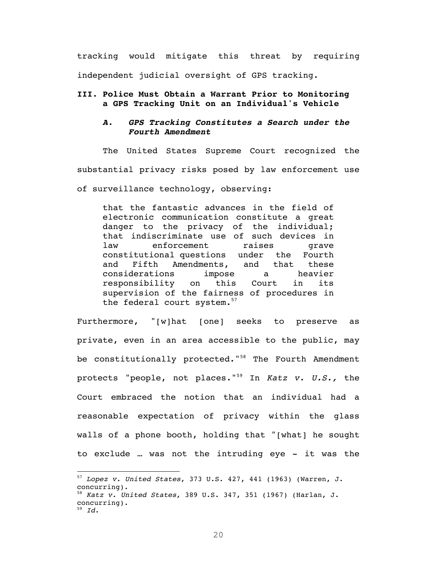tracking would mitigate this threat by requiring independent judicial oversight of GPS tracking.

#### **III. Police Must Obtain a Warrant Prior to Monitoring a GPS Tracking Unit on an Individual's Vehicle**

#### *A. GPS Tracking Constitutes a Search under the Fourth Amendment*

The United States Supreme Court recognized the substantial privacy risks posed by law enforcement use of surveillance technology, observing:

that the fantastic advances in the field of electronic communication constitute a great danger to the privacy of the individual; that indiscriminate use of such devices in law enforcement raises qrave constitutional questions under the Fourth and Fifth Amendments, and that these considerations impose a heavier responsibility on this Court in its supervision of the fairness of procedures in the federal court system.<sup>57</sup>

Furthermore, "[w]hat [one] seeks to preserve as private, even in an area accessible to the public, may be constitutionally protected."<sup>58</sup> The Fourth Amendment protects "people, not places."59 In *Katz v. U.S.,* the Court embraced the notion that an individual had a reasonable expectation of privacy within the glass walls of a phone booth, holding that "[what] he sought to exclude … was not the intruding eye - it was the

<u> 1989 - Johann Stein, fransk politiker (d. 1989)</u>

<sup>57</sup> *Lopez v. United States*, 373 U.S. 427, 441 (1963) (Warren, J. concurring). <sup>58</sup> *Katz v. United States*, 389 U.S. 347, 351 (1967) (Harlan, J.

concurring).

<sup>59</sup> *Id*.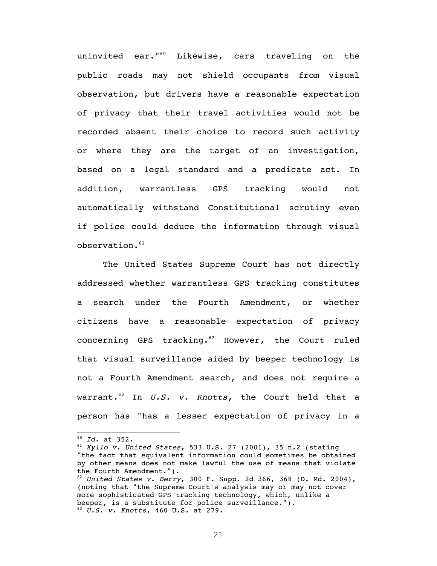uninvited ear."<sup>60</sup> Likewise, cars traveling on the public roads may not shield occupants from visual observation, but drivers have a reasonable expectation of privacy that their travel activities would not be recorded absent their choice to record such activity or where they are the target of an investigation, based on a legal standard and a predicate act. In addition, warrantless GPS tracking would not automatically withstand Constitutional scrutiny even if police could deduce the information through visual  $observation.<sup>61</sup>$ 

The United States Supreme Court has not directly addressed whether warrantless GPS tracking constitutes a search under the Fourth Amendment, or whether citizens have a reasonable expectation of privacy concerning GPS tracking. $62$  However, the Court ruled that visual surveillance aided by beeper technology is not a Fourth Amendment search, and does not require a warrant.63 In *U.S. v. Knotts*, the Court held that a person has "has a lesser expectation of privacy in a

<u> 1989 - Johann Stein, fransk politiker (d. 1989)</u>

<sup>60</sup> *Id*. at 352.

<sup>61</sup> *Kyllo v. United States*, 533 U.S. 27 (2001), 35 n.2 (stating "the fact that equivalent information could sometimes be obtained by other means does not make lawful the use of means that violate the Fourth Amendment.").

<sup>62</sup> *United States v. Berry*, 300 F. Supp. 2d 366, 368 (D. Md. 2004), (noting that "the Supreme Court's analysis may or may not cover more sophisticated GPS tracking technology, which, unlike a beeper, is a substitute for police surveillance.").

<sup>63</sup> *U.S. v. Knotts*, 460 U.S. at 279.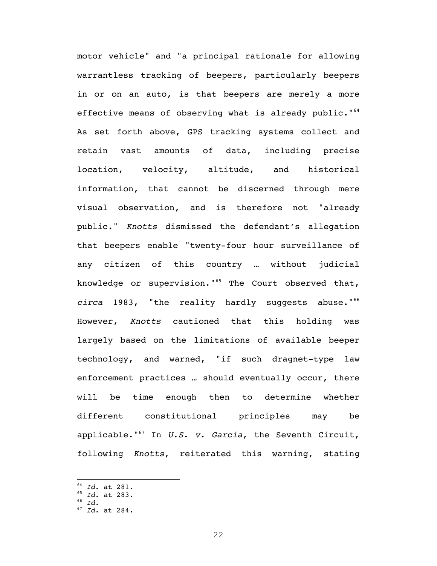motor vehicle" and "a principal rationale for allowing warrantless tracking of beepers, particularly beepers in or on an auto, is that beepers are merely a more effective means of observing what is already public." $64$ As set forth above, GPS tracking systems collect and retain vast amounts of data, including precise location, velocity, altitude, and historical information, that cannot be discerned through mere visual observation, and is therefore not "already public." *Knotts* dismissed the defendant's allegation that beepers enable "twenty-four hour surveillance of any citizen of this country … without judicial knowledge or supervision." $65$  The Court observed that, circa 1983, "the reality hardly suggests abuse."<sup>66</sup> However, *Knotts* cautioned that this holding was largely based on the limitations of available beeper technology, and warned, "if such dragnet-type law enforcement practices … should eventually occur, there will be time enough then to determine whether different constitutional principles may be applicable."67 In *U.S. v. Garcia*, the Seventh Circuit, following *Knotts*, reiterated this warning, stating

<sup>64</sup> *Id*. at 281.

<sup>65</sup> *Id*. at 283.

<sup>66</sup> *Id*. 67 *Id*. at 284.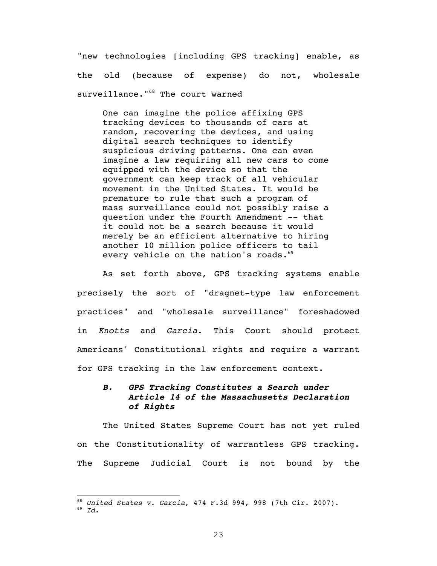"new technologies [including GPS tracking] enable, as the old (because of expense) do not, wholesale surveillance."<sup>68</sup> The court warned

One can imagine the police affixing GPS tracking devices to thousands of cars at random, recovering the devices, and using digital search techniques to identify suspicious driving patterns. One can even imagine a law requiring all new cars to come equipped with the device so that the government can keep track of all vehicular movement in the United States. It would be premature to rule that such a program of mass surveillance could not possibly raise a question under the Fourth Amendment -- that it could not be a search because it would merely be an efficient alternative to hiring another 10 million police officers to tail every vehicle on the nation's roads.<sup>69</sup>

As set forth above, GPS tracking systems enable precisely the sort of "dragnet-type law enforcement practices" and "wholesale surveillance" foreshadowed in *Knotts* and *Garcia*. This Court should protect Americans' Constitutional rights and require a warrant for GPS tracking in the law enforcement context.

### *B. GPS Tracking Constitutes a Search under Article 14 of the Massachusetts Declaration of Rights*

The United States Supreme Court has not yet ruled on the Constitutionality of warrantless GPS tracking. The Supreme Judicial Court is not bound by the

<sup>68</sup> *United States v. Garcia*, 474 F.3d 994, 998 (7th Cir. 2007). <sup>69</sup> *Id*.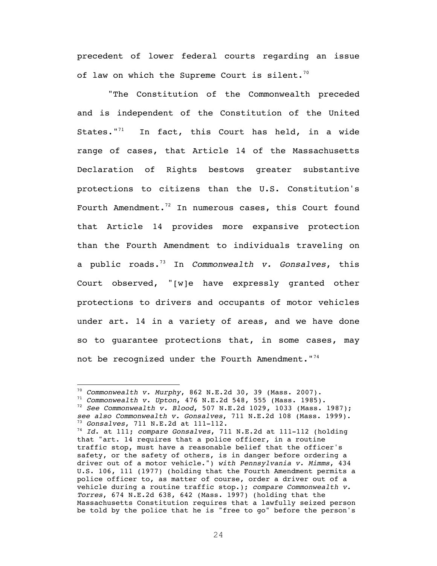precedent of lower federal courts regarding an issue of law on which the Supreme Court is silent.<sup>70</sup>

 "The Constitution of the Commonwealth preceded and is independent of the Constitution of the United States." $71$  In fact, this Court has held, in a wide range of cases, that Article 14 of the Massachusetts Declaration of Rights bestows greater substantive protections to citizens than the U.S. Constitution's Fourth Amendment.<sup>72</sup> In numerous cases, this Court found that Article 14 provides more expansive protection than the Fourth Amendment to individuals traveling on a public roads.73 In *Commonwealth v. Gonsalves*, this Court observed, "[w]e have expressly granted other protections to drivers and occupants of motor vehicles under art. 14 in a variety of areas, and we have done so to guarantee protections that, in some cases, may not be recognized under the Fourth Amendment."<sup>74</sup>

<sup>70</sup> *Commonwealth v. Murphy*, 862 N.E.2d 30, 39 (Mass. 2007). <sup>71</sup> *Commonwealth v. Upton*, 476 N.E.2d 548, 555 (Mass. 1985). <sup>72</sup> *See Commonwealth v. Blood*, 507 N.E.2d 1029, 1033 (Mass. 1987); *see also Commonwealth v. Gonsalves*, 711 N.E.2d 108 (Mass. 1999).

<sup>73</sup> *Gonsalves*, 711 N.E.2d at 111-112.

<sup>74</sup> *Id*. at 111; *compare Gonsalves*, 711 N.E.2d at 111-112 (holding that "art. 14 requires that a police officer, in a routine traffic stop, must have a reasonable belief that the officer's safety, or the safety of others, is in danger before ordering a driver out of a motor vehicle.") *with Pennsylvania v. Mimms*, 434 U.S. 106, 111 (1977) (holding that the Fourth Amendment permits a police officer to, as matter of course, order a driver out of a vehicle during a routine traffic stop.); *compare Commonwealth v. Torres*, 674 N.E.2d 638, 642 (Mass. 1997) (holding that the Massachusetts Constitution requires that a lawfully seized person be told by the police that he is "free to go" before the person's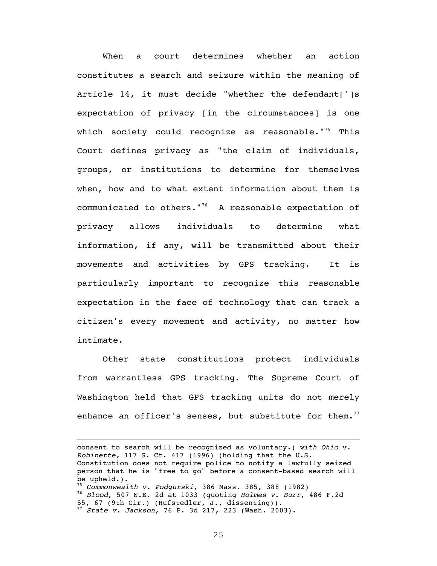When a court determines whether an action constitutes a search and seizure within the meaning of Article 14, it must decide "whether the defendant[']s expectation of privacy [in the circumstances] is one which society could recognize as reasonable."<sup>75</sup> This Court defines privacy as "the claim of individuals, groups, or institutions to determine for themselves when, how and to what extent information about them is communicated to others."<sup>76</sup> A reasonable expectation of privacy allows individuals to determine what information, if any, will be transmitted about their movements and activities by GPS tracking. It is particularly important to recognize this reasonable expectation in the face of technology that can track a citizen's every movement and activity, no matter how intimate.

Other state constitutions protect individuals from warrantless GPS tracking. The Supreme Court of Washington held that GPS tracking units do not merely enhance an officer's senses, but substitute for them.<sup>77</sup>

consent to search will be recognized as voluntary.) *with Ohio* v. *Robinette,* 117 S. Ct. 417 (1996) (holding that the U.S. Constitution does not require police to notify a lawfully seized person that he is "free to go" before a consent-based search will be upheld.). <sup>75</sup> *Commonwealth v. Podgurski*, 386 Mass. 385, 388 (1982) <sup>76</sup> *Blood*, 507 N.E. 2d at 1033 (quoting *Holmes v. Burr*, 486 F.2d 55, 67 (9th Cir.) (Hufstedler, J., dissenting)). <sup>77</sup> *State v. Jackson*, 76 P. 3d 217, 223 (Wash. 2003).

<u> 1989 - Johann Stoff, deutscher Stoff, der Stoff, der Stoff, der Stoff, der Stoff, der Stoff, der Stoff, der S</u>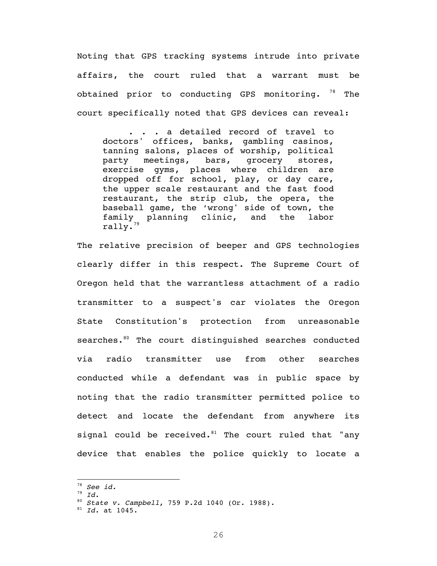Noting that GPS tracking systems intrude into private affairs, the court ruled that a warrant must be obtained prior to conducting GPS monitoring.  $78$  The court specifically noted that GPS devices can reveal:

. . . a detailed record of travel to doctors' offices, banks, gambling casinos, tanning salons, places of worship, political party meetings, bars, grocery stores, exercise gyms, places where children are dropped off for school, play, or day care, the upper scale restaurant and the fast food restaurant, the strip club, the opera, the baseball game, the 'wrong' side of town, the family planning clinic, and the labor  $\texttt{rally."}^{\text{\texttt{3}}\text{\texttt{}}}$ 

The relative precision of beeper and GPS technologies clearly differ in this respect. The Supreme Court of Oregon held that the warrantless attachment of a radio transmitter to a suspect's car violates the Oregon State Constitution's protection from unreasonable searches.<sup>80</sup> The court distinguished searches conducted via radio transmitter use from other searches conducted while a defendant was in public space by noting that the radio transmitter permitted police to detect and locate the defendant from anywhere its signal could be received. $81$  The court ruled that "any device that enables the police quickly to locate a

<sup>78</sup> *See id.*

<sup>79</sup> *Id.*

<sup>80</sup> *State v. Campbell*, 759 P.2d 1040 (Or. 1988). 81 *Id.* at 1045.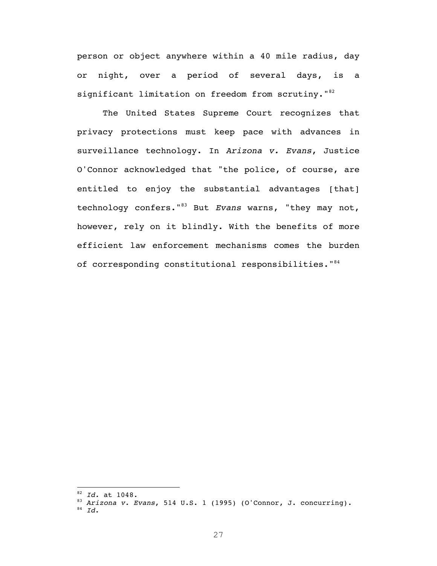person or object anywhere within a 40 mile radius, day or night, over a period of several days, is a significant limitation on freedom from scrutiny."<sup>82</sup>

The United States Supreme Court recognizes that privacy protections must keep pace with advances in surveillance technology. In *Arizona v. Evans*, Justice O'Connor acknowledged that "the police, of course, are entitled to enjoy the substantial advantages [that] technology confers."83 But *Evans* warns, "they may not, however, rely on it blindly. With the benefits of more efficient law enforcement mechanisms comes the burden of corresponding constitutional responsibilities."<sup>84</sup>

<u> 1989 - Johann Stein, fransk politiker (d. 1989)</u>

<sup>82</sup> *Id.* at 1048. 83 *Arizona v. Evans*, 514 U.S. 1 (1995) (O'Connor, J. concurring).

<sup>84</sup> *Id*.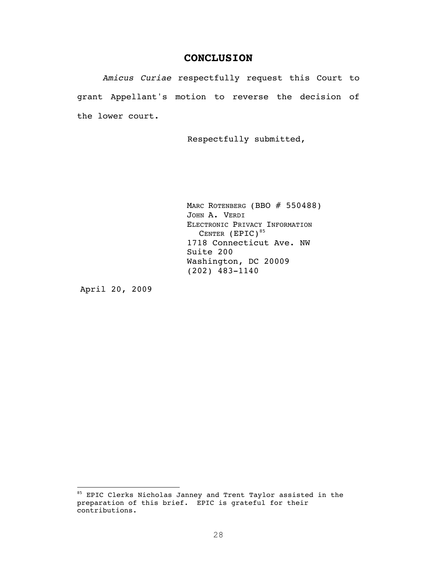## **CONCLUSION**

*Amicus Curiae* respectfully request this Court to grant Appellant's motion to reverse the decision of the lower court.

Respectfully submitted,

MARC ROTENBERG (BBO # 550488) JOHN A. VERDI ELECTRONIC PRIVACY INFORMATION CENTER  $(EPIC)^{85}$ 1718 Connecticut Ave. NW Suite 200 Washington, DC 20009 (202) 483-1140

April 20, 2009

<u> 1989 - Johann Stein, fransk politiker (d. 1989)</u>

<sup>85</sup> EPIC Clerks Nicholas Janney and Trent Taylor assisted in the preparation of this brief. EPIC is grateful for their contributions.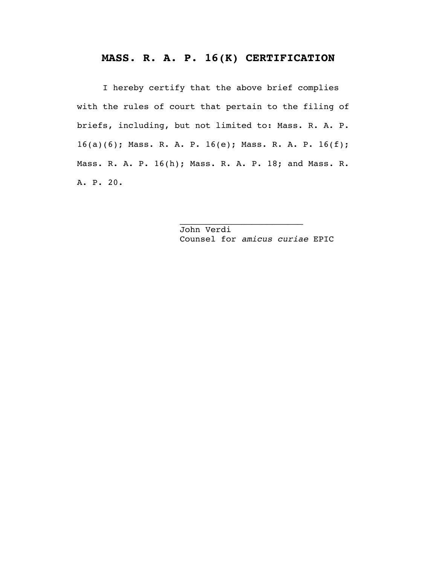## **MASS. R. A. P. 16(K) CERTIFICATION**

I hereby certify that the above brief complies with the rules of court that pertain to the filing of briefs, including, but not limited to: Mass. R. A. P. 16(a)(6); Mass. R. A. P. 16(e); Mass. R. A. P. 16(f); Mass. R. A. P. 16(h); Mass. R. A. P. 18; and Mass. R. A. P. 20.

> John Verdi Counsel for *amicus curiae* EPIC

 $\overline{\phantom{a}}$  , which is a set of the set of the set of the set of the set of the set of the set of the set of the set of the set of the set of the set of the set of the set of the set of the set of the set of the set of th